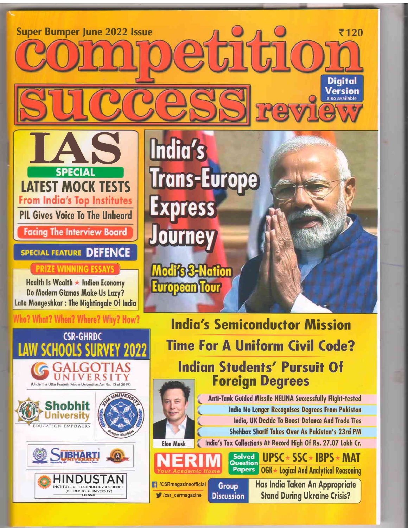**Super Bumper June 2022 Issue** ₹120 Digital Version e India's **Trans-Europe SPECIA LATEST MOCK TESTS From India's Top Institutes** ess **PIL Gives Voice To The Unheard Facing The Interview Board SPECIAL FEATURE DEFENCE B-Nation** Health Is Wealth ★ Indian Economy pean Tour Do Modern Gizmos Make Us Lazy? Lata Mangeshkar : The Nightingale Of India Who? What? When? Where? Why? How? **India's Semiconductor Mission CSR-GHRDC Time For A Uniform Civil Code? SCHOOLS Indian Students' Pursuit Of**  $\mathbf \tau$ UNIVERSITY

**Elon Musk** 

**B** /CSRmagazineofficial

Csr\_csrmagazine

Group

**Discussion** 

(Under the Uttar Pradesh Private Universities Act No.

**iversity** 

**JUBHART** 

HINDUSTAN

INSTITUTE OF TECHNOLOGY & SCIENCE

EDUCATION EMPOWERS

**Foreign Degrees Anti-Tank Guided Missile HELINA Successfully Flight-tested** India No Longer Recognises Degrees From Pakistan India, UK Decide To Boost Defence And Trade Ties

Shehbaz Sharif Takes Over As Pakistan's 23rd PM India's Tax Collections At Record High Of Rs. 27.07 Lakh Cr.

Solved<br>Question **UPSC** ★ SSC ★ IBPS ★ MAT

**Papers OGK ★ Logical And Analytical Reasoning** 

> Has India Taken An Appropriate **Stand During Ukraine Crisis?**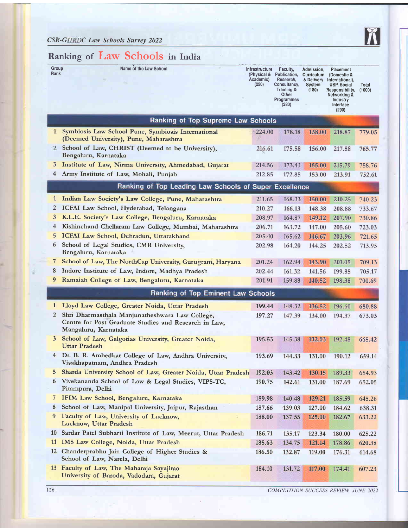

## Ranking of Law Schools in India

| Group<br>Rank  | w<br>Name of the Law School                                                                                                      | <b>Infrastructure</b><br>(Physical &<br>Academic)<br>(250) | Faculty,<br>Publication,<br>Research,<br>Consultancy,<br>Training &<br>Other<br>Programmes<br>(280) | Admission,<br>Curriculum<br>& Delivery<br><b>System</b><br>(180) | Placement<br>(Domestic &<br>International),<br><b>USP, Social</b><br>Responsibility,<br><b>Networking &amp;</b><br><b>Industry</b><br>Interface<br>(290) | Total<br>(1000) |
|----------------|----------------------------------------------------------------------------------------------------------------------------------|------------------------------------------------------------|-----------------------------------------------------------------------------------------------------|------------------------------------------------------------------|----------------------------------------------------------------------------------------------------------------------------------------------------------|-----------------|
|                | Ranking of Top Supreme Law Schools                                                                                               |                                                            |                                                                                                     |                                                                  |                                                                                                                                                          |                 |
| $\mathbf{1}$   | Symbiosis Law School Pune, Symbiosis International<br>(Deemed University), Pune, Maharashtra                                     | 224.00                                                     | 178.18                                                                                              | 158.00                                                           | 218.87                                                                                                                                                   | 779.05          |
| 2              | School of Law, CHRIST (Deemed to be University),<br>Bengaluru, Karnataka                                                         | 216.61                                                     | 175.58                                                                                              | 156.00                                                           | 217.58                                                                                                                                                   | 765.77          |
| 3              | Institute of Law, Nirma University, Ahmedabad, Gujarat                                                                           | 214.56                                                     | 173.41                                                                                              | 155.00                                                           | 215.79                                                                                                                                                   | 758.76          |
| $\overline{4}$ | Army Institute of Law, Mohali, Punjab                                                                                            | 212.85                                                     | 172.85                                                                                              | 153.00                                                           | 213.91                                                                                                                                                   | 752.61          |
|                | Ranking of Top Leading Law Schools of Super Excellence                                                                           |                                                            |                                                                                                     |                                                                  |                                                                                                                                                          |                 |
| $\mathbf{1}$   | Indian Law Society's Law College, Pune, Maharashtra                                                                              | 211.65                                                     | 168.33                                                                                              | 150.00                                                           | 210.25                                                                                                                                                   | 740.23          |
| $\overline{2}$ | ICFAI Law School, Hyderabad, Telangana                                                                                           | 210.27                                                     | 166.13                                                                                              | 148.38                                                           | 208.88                                                                                                                                                   | 733.67          |
| 3              | K.L.E. Society's Law College, Bengaluru, Karnataka                                                                               | 208.97                                                     | 164.87                                                                                              | 149.12                                                           | 207.90                                                                                                                                                   | 730.86          |
| $\overline{4}$ | Kishinchand Chellaram Law College, Mumbai, Maharashtra                                                                           | 206.71                                                     | 163.72                                                                                              | 147.00                                                           | 205.60                                                                                                                                                   | 723.03          |
| 5              | ICFAI Law School, Dehradun, Uttarakhand                                                                                          | 205.40                                                     | 165.62                                                                                              | 146.67                                                           | 203.96                                                                                                                                                   | 721.65          |
| 6              | School of Legal Studies, CMR University,<br>Bengaluru, Karnataka                                                                 | 202.98                                                     | 164.20                                                                                              | 144.25                                                           | 202.52                                                                                                                                                   | 713.95          |
| 7              | School of Law, The NorthCap University, Gurugram, Haryana                                                                        | 201.24                                                     | 162.94                                                                                              | 143.90                                                           | 201.05                                                                                                                                                   | 709.13          |
| 8              | Indore Institute of Law, Indore, Madhya Pradesh                                                                                  | 202.44                                                     | 161.32                                                                                              | 141.56                                                           | 199.85                                                                                                                                                   | 705.17          |
| 9              | Ramaiah College of Law, Bengaluru, Karnataka                                                                                     | 201.91                                                     | 159.88                                                                                              | 140.52                                                           | 198.38                                                                                                                                                   | 700.69          |
|                | Ranking of Top Eminent Law Schools                                                                                               |                                                            |                                                                                                     |                                                                  |                                                                                                                                                          |                 |
| $\mathbf{1}$   | Lloyd Law College, Greater Noida, Uttar Pradesh                                                                                  | 199.44                                                     | 148.32                                                                                              | 136.52                                                           | 196.60                                                                                                                                                   | 680.88          |
| 2              | Shri Dharmasthala Manjunatheshwara Law College,<br>Centre for Post Graduate Studies and Research in Law,<br>Mangaluru, Karnataka | 197.27                                                     | 147.39                                                                                              | 134.00                                                           | 194.37                                                                                                                                                   | 673.03          |
| 3              | School of Law, Galgotias University, Greater Noida,<br><b>Uttar Pradesh</b>                                                      | 195.53                                                     | 145.38                                                                                              | 132.03                                                           | 192.48                                                                                                                                                   | 665.42          |
| $\overline{4}$ | Dr. B. R. Ambedkar College of Law, Andhra University,<br>Visakhapatnam, Andhra Pradesh                                           | 193.69                                                     | 144.33                                                                                              | 131.00                                                           | 190.12                                                                                                                                                   | 659.14          |
| 5              | Sharda University School of Law, Greater Noida, Uttar Pradesh                                                                    | 192.03                                                     | 143.42                                                                                              | 130.15                                                           | 189.33                                                                                                                                                   | 654.93          |
| 6              | Vivekananda School of Law & Legal Studies, VIPS-TC,<br>Pitampura, Delhi                                                          | 190.75                                                     | 142.61                                                                                              | 131.00                                                           | 187.69                                                                                                                                                   | 652.05          |
| 7              | IFIM Law School, Bengaluru, Karnataka                                                                                            | 189.98                                                     | 140.48                                                                                              | 129.21                                                           | 185.59                                                                                                                                                   | 645.26          |
| 8              | School of Law, Manipal University, Jaipur, Rajasthan                                                                             | 187.66                                                     | 139.03                                                                                              | 127.00                                                           | 184.62                                                                                                                                                   | 638.31          |
| 9              | Faculty of Law, University of Lucknow,<br>Lucknow, Uttar Pradesh                                                                 | 188.00                                                     | 137.55                                                                                              | 125.00                                                           | 182.67                                                                                                                                                   | 633.22          |
|                | 10 Sardar Patel Subharti Institute of Law, Meerut, Uttar Pradesh                                                                 | 186.71                                                     | 135.17                                                                                              | 123.34                                                           | 180.00                                                                                                                                                   | 625.22          |
| <b>11</b>      | IMS Law College, Noida, Uttar Pradesh                                                                                            | 185.63                                                     | 134.75                                                                                              | 121.14                                                           | 178.86                                                                                                                                                   | 620.38          |
|                | 12 Chanderprabhu Jain College of Higher Studies &<br>School of Law, Narela, Delhi                                                | 186.50                                                     | 132.87                                                                                              | 119.00                                                           | 176.31                                                                                                                                                   | 614.68          |
|                | 13 Faculty of Law, The Maharaja Sayajirao<br>University of Baroda, Vadodara, Gujarat                                             | 184.10                                                     | 131.72                                                                                              | 117.00                                                           | 174.41                                                                                                                                                   | 607.23          |

COMPETITION SUCCESS REVIEW, JUNE 2022